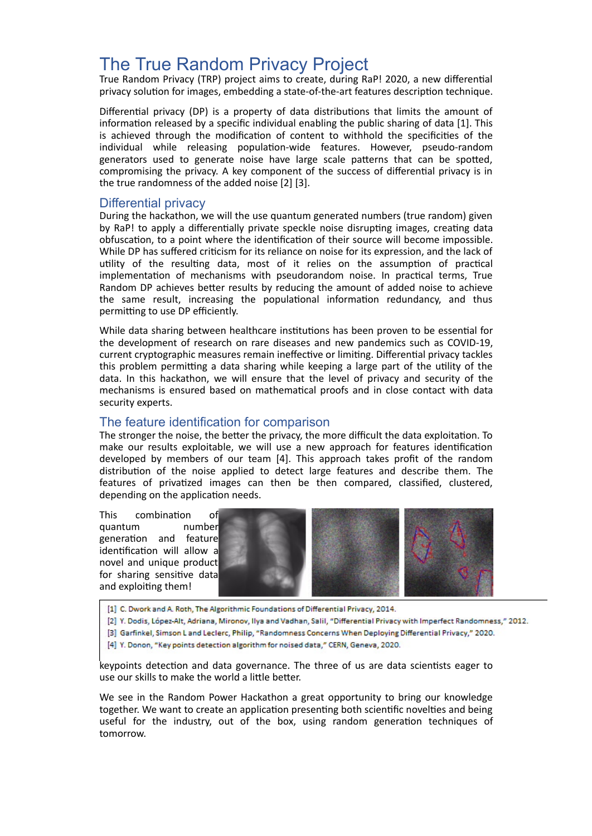## The True Random Privacy Project

True Random Privacy (TRP) project aims to create, during RaP! 2020, a new differential privacy solution for images, embedding a state-of-the-art features description technique.

Differential privacy (DP) is a property of data distributions that limits the amount of information released by a specific individual enabling the public sharing of data [1]. This is achieved through the modification of content to withhold the specificities of the individual while releasing population-wide features. However, pseudo-random generators used to generate noise have large scale patterns that can be spotted. compromising the privacy. A key component of the success of differential privacy is in the true randomness of the added noise [2] [3].

## Differential privacy

During the hackathon, we will the use quantum generated numbers (true random) given by RaP! to apply a differentially private speckle noise disrupting images, creating data obfuscation, to a point where the identification of their source will become impossible. While DP has suffered criticism for its reliance on noise for its expression, and the lack of utility of the resulting data, most of it relies on the assumption of practical implementation of mechanisms with pseudorandom noise. In practical terms, True Random DP achieves better results by reducing the amount of added noise to achieve the same result, increasing the populational information redundancy, and thus permitting to use DP efficiently.

While data sharing between healthcare institutions has been proven to be essential for the development of research on rare diseases and new pandemics such as COVID-19, current cryptographic measures remain ineffective or limiting. Differential privacy tackles this problem permitting a data sharing while keeping a large part of the utility of the data. In this hackathon, we will ensure that the level of privacy and security of the mechanisms is ensured based on mathematical proofs and in close contact with data security experts.

## The feature identification for comparison

The stronger the noise, the better the privacy, the more difficult the data exploitation. To make our results exploitable, we will use a new approach for features identification developed by members of our team [4]. This approach takes profit of the random distribution of the noise applied to detect large features and describe them. The features of privatized images can then be then compared, classified, clustered, depending on the application needs.

This combination of quantum number generation and feature identification will allow a novel and unique product for sharing sensitive data and exploiting them!





- [1] C. Dwork and A. Roth, The Algorithmic Foundations of Differential Privacy, 2014.<br>[2] Y. Dodis, López-Alt, Adriana, Mironov, Ilya and Vadhan, Salil, "Differential Privacy with Imperfect Randomness," 2012.<br>[3] Garfinkel,
- 
- [4] Y. Donon, "Key points detection algorithm for noised data," CERN, Geneva, 2020. One of us is an expert of data privacy, another of image processing and the third of

keypoints detection and data governance. The three of us are data scientists eager to use our skills to make the world a little better.

We see in the Random Power Hackathon a great opportunity to bring our knowledge together. We want to create an application presenting both scientific novelties and being useful for the industry, out of the box, using random generation techniques of tomorrow.